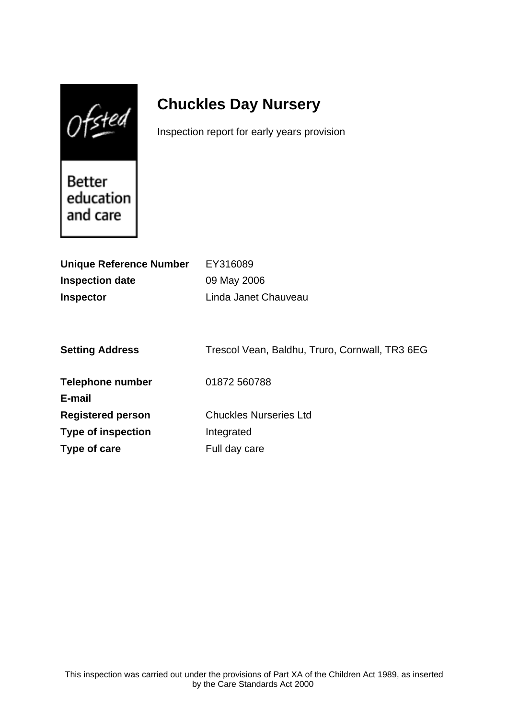$0$ fsted

# **Chuckles Day Nursery**

Inspection report for early years provision

Better education and care

| <b>Unique Reference Number</b> | EY316089                                       |
|--------------------------------|------------------------------------------------|
| <b>Inspection date</b>         | 09 May 2006                                    |
| <b>Inspector</b>               | Linda Janet Chauveau                           |
|                                |                                                |
|                                |                                                |
| <b>Setting Address</b>         | Trescol Vean, Baldhu, Truro, Cornwall, TR3 6EG |
|                                |                                                |
| <b>Telephone number</b>        | 01872 560788                                   |
| E-mail                         |                                                |
| <b>Registered person</b>       | <b>Chuckles Nurseries Ltd</b>                  |
| <b>Type of inspection</b>      | Integrated                                     |
| Type of care                   | Full day care                                  |
|                                |                                                |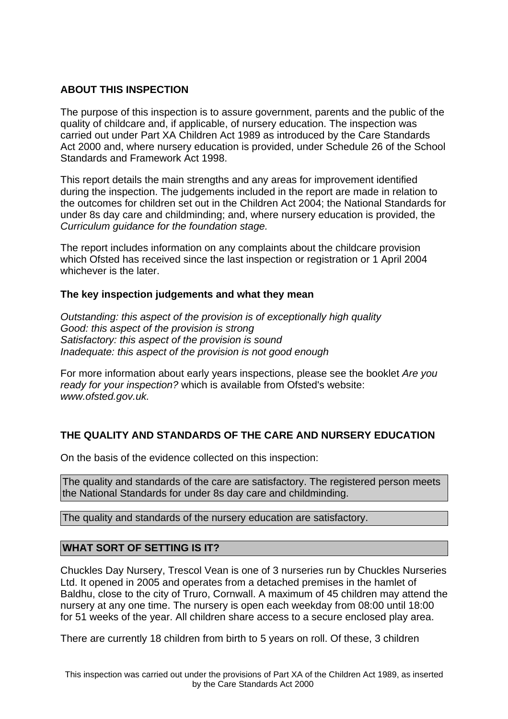# **ABOUT THIS INSPECTION**

The purpose of this inspection is to assure government, parents and the public of the quality of childcare and, if applicable, of nursery education. The inspection was carried out under Part XA Children Act 1989 as introduced by the Care Standards Act 2000 and, where nursery education is provided, under Schedule 26 of the School Standards and Framework Act 1998.

This report details the main strengths and any areas for improvement identified during the inspection. The judgements included in the report are made in relation to the outcomes for children set out in the Children Act 2004; the National Standards for under 8s day care and childminding; and, where nursery education is provided, the Curriculum guidance for the foundation stage.

The report includes information on any complaints about the childcare provision which Ofsted has received since the last inspection or registration or 1 April 2004 whichever is the later.

## **The key inspection judgements and what they mean**

Outstanding: this aspect of the provision is of exceptionally high quality Good: this aspect of the provision is strong Satisfactory: this aspect of the provision is sound Inadequate: this aspect of the provision is not good enough

For more information about early years inspections, please see the booklet Are you ready for your inspection? which is available from Ofsted's website: www.ofsted.gov.uk.

# **THE QUALITY AND STANDARDS OF THE CARE AND NURSERY EDUCATION**

On the basis of the evidence collected on this inspection:

The quality and standards of the care are satisfactory. The registered person meets the National Standards for under 8s day care and childminding.

The quality and standards of the nursery education are satisfactory.

## **WHAT SORT OF SETTING IS IT?**

Chuckles Day Nursery, Trescol Vean is one of 3 nurseries run by Chuckles Nurseries Ltd. It opened in 2005 and operates from a detached premises in the hamlet of Baldhu, close to the city of Truro, Cornwall. A maximum of 45 children may attend the nursery at any one time. The nursery is open each weekday from 08:00 until 18:00 for 51 weeks of the year. All children share access to a secure enclosed play area.

There are currently 18 children from birth to 5 years on roll. Of these, 3 children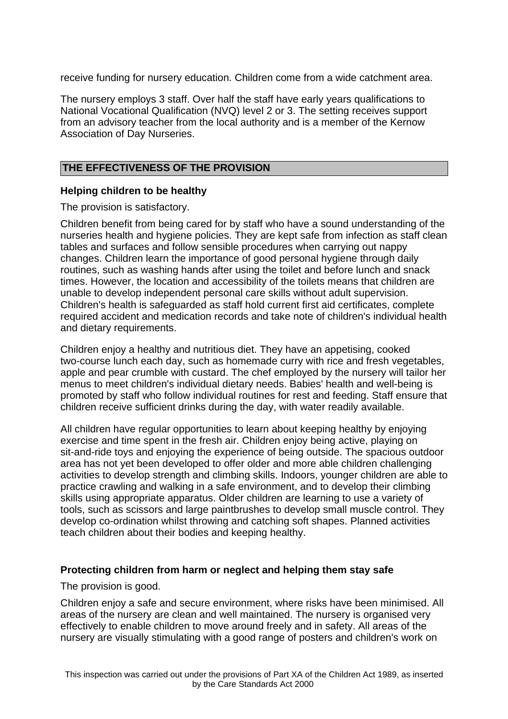receive funding for nursery education. Children come from a wide catchment area.

The nursery employs 3 staff. Over half the staff have early years qualifications to National Vocational Qualification (NVQ) level 2 or 3. The setting receives support from an advisory teacher from the local authority and is a member of the Kernow Association of Day Nurseries.

# **THE EFFECTIVENESS OF THE PROVISION**

## **Helping children to be healthy**

The provision is satisfactory.

Children benefit from being cared for by staff who have a sound understanding of the nurseries health and hygiene policies. They are kept safe from infection as staff clean tables and surfaces and follow sensible procedures when carrying out nappy changes. Children learn the importance of good personal hygiene through daily routines, such as washing hands after using the toilet and before lunch and snack times. However, the location and accessibility of the toilets means that children are unable to develop independent personal care skills without adult supervision. Children's health is safeguarded as staff hold current first aid certificates, complete required accident and medication records and take note of children's individual health and dietary requirements.

Children enjoy a healthy and nutritious diet. They have an appetising, cooked two-course lunch each day, such as homemade curry with rice and fresh vegetables, apple and pear crumble with custard. The chef employed by the nursery will tailor her menus to meet children's individual dietary needs. Babies' health and well-being is promoted by staff who follow individual routines for rest and feeding. Staff ensure that children receive sufficient drinks during the day, with water readily available.

All children have regular opportunities to learn about keeping healthy by enjoying exercise and time spent in the fresh air. Children enjoy being active, playing on sit-and-ride toys and enjoying the experience of being outside. The spacious outdoor area has not yet been developed to offer older and more able children challenging activities to develop strength and climbing skills. Indoors, younger children are able to practice crawling and walking in a safe environment, and to develop their climbing skills using appropriate apparatus. Older children are learning to use a variety of tools, such as scissors and large paintbrushes to develop small muscle control. They develop co-ordination whilst throwing and catching soft shapes. Planned activities teach children about their bodies and keeping healthy.

## **Protecting children from harm or neglect and helping them stay safe**

The provision is good.

Children enjoy a safe and secure environment, where risks have been minimised. All areas of the nursery are clean and well maintained. The nursery is organised very effectively to enable children to move around freely and in safety. All areas of the nursery are visually stimulating with a good range of posters and children's work on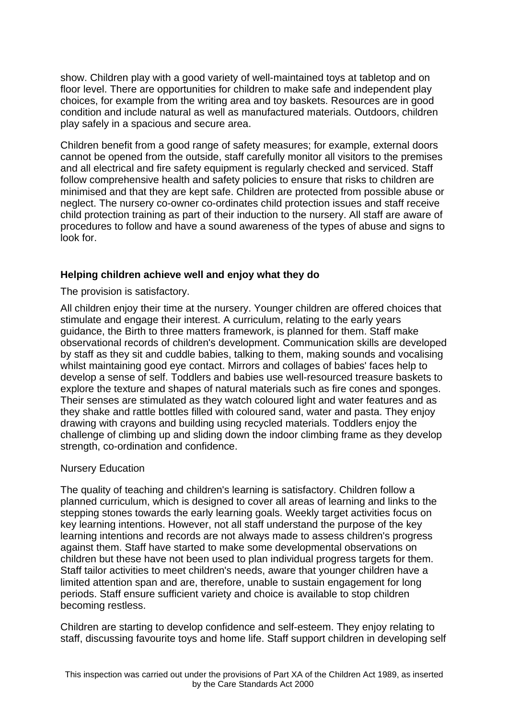show. Children play with a good variety of well-maintained toys at tabletop and on floor level. There are opportunities for children to make safe and independent play choices, for example from the writing area and toy baskets. Resources are in good condition and include natural as well as manufactured materials. Outdoors, children play safely in a spacious and secure area.

Children benefit from a good range of safety measures; for example, external doors cannot be opened from the outside, staff carefully monitor all visitors to the premises and all electrical and fire safety equipment is regularly checked and serviced. Staff follow comprehensive health and safety policies to ensure that risks to children are minimised and that they are kept safe. Children are protected from possible abuse or neglect. The nursery co-owner co-ordinates child protection issues and staff receive child protection training as part of their induction to the nursery. All staff are aware of procedures to follow and have a sound awareness of the types of abuse and signs to look for.

## **Helping children achieve well and enjoy what they do**

The provision is satisfactory.

All children enjoy their time at the nursery. Younger children are offered choices that stimulate and engage their interest. A curriculum, relating to the early years guidance, the Birth to three matters framework, is planned for them. Staff make observational records of children's development. Communication skills are developed by staff as they sit and cuddle babies, talking to them, making sounds and vocalising whilst maintaining good eye contact. Mirrors and collages of babies' faces help to develop a sense of self. Toddlers and babies use well-resourced treasure baskets to explore the texture and shapes of natural materials such as fire cones and sponges. Their senses are stimulated as they watch coloured light and water features and as they shake and rattle bottles filled with coloured sand, water and pasta. They enjoy drawing with crayons and building using recycled materials. Toddlers enjoy the challenge of climbing up and sliding down the indoor climbing frame as they develop strength, co-ordination and confidence.

#### Nursery Education

The quality of teaching and children's learning is satisfactory. Children follow a planned curriculum, which is designed to cover all areas of learning and links to the stepping stones towards the early learning goals. Weekly target activities focus on key learning intentions. However, not all staff understand the purpose of the key learning intentions and records are not always made to assess children's progress against them. Staff have started to make some developmental observations on children but these have not been used to plan individual progress targets for them. Staff tailor activities to meet children's needs, aware that younger children have a limited attention span and are, therefore, unable to sustain engagement for long periods. Staff ensure sufficient variety and choice is available to stop children becoming restless.

Children are starting to develop confidence and self-esteem. They enjoy relating to staff, discussing favourite toys and home life. Staff support children in developing self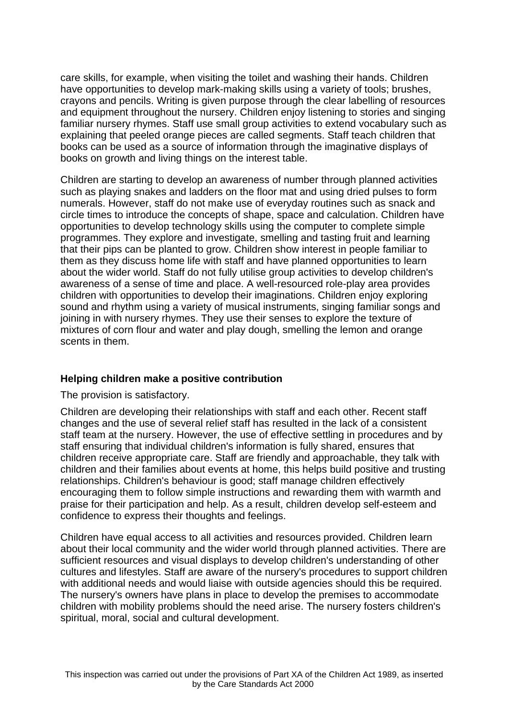care skills, for example, when visiting the toilet and washing their hands. Children have opportunities to develop mark-making skills using a variety of tools; brushes, crayons and pencils. Writing is given purpose through the clear labelling of resources and equipment throughout the nursery. Children enjoy listening to stories and singing familiar nursery rhymes. Staff use small group activities to extend vocabulary such as explaining that peeled orange pieces are called segments. Staff teach children that books can be used as a source of information through the imaginative displays of books on growth and living things on the interest table.

Children are starting to develop an awareness of number through planned activities such as playing snakes and ladders on the floor mat and using dried pulses to form numerals. However, staff do not make use of everyday routines such as snack and circle times to introduce the concepts of shape, space and calculation. Children have opportunities to develop technology skills using the computer to complete simple programmes. They explore and investigate, smelling and tasting fruit and learning that their pips can be planted to grow. Children show interest in people familiar to them as they discuss home life with staff and have planned opportunities to learn about the wider world. Staff do not fully utilise group activities to develop children's awareness of a sense of time and place. A well-resourced role-play area provides children with opportunities to develop their imaginations. Children enjoy exploring sound and rhythm using a variety of musical instruments, singing familiar songs and joining in with nursery rhymes. They use their senses to explore the texture of mixtures of corn flour and water and play dough, smelling the lemon and orange scents in them.

## **Helping children make a positive contribution**

## The provision is satisfactory.

Children are developing their relationships with staff and each other. Recent staff changes and the use of several relief staff has resulted in the lack of a consistent staff team at the nursery. However, the use of effective settling in procedures and by staff ensuring that individual children's information is fully shared, ensures that children receive appropriate care. Staff are friendly and approachable, they talk with children and their families about events at home, this helps build positive and trusting relationships. Children's behaviour is good; staff manage children effectively encouraging them to follow simple instructions and rewarding them with warmth and praise for their participation and help. As a result, children develop self-esteem and confidence to express their thoughts and feelings.

Children have equal access to all activities and resources provided. Children learn about their local community and the wider world through planned activities. There are sufficient resources and visual displays to develop children's understanding of other cultures and lifestyles. Staff are aware of the nursery's procedures to support children with additional needs and would liaise with outside agencies should this be required. The nursery's owners have plans in place to develop the premises to accommodate children with mobility problems should the need arise. The nursery fosters children's spiritual, moral, social and cultural development.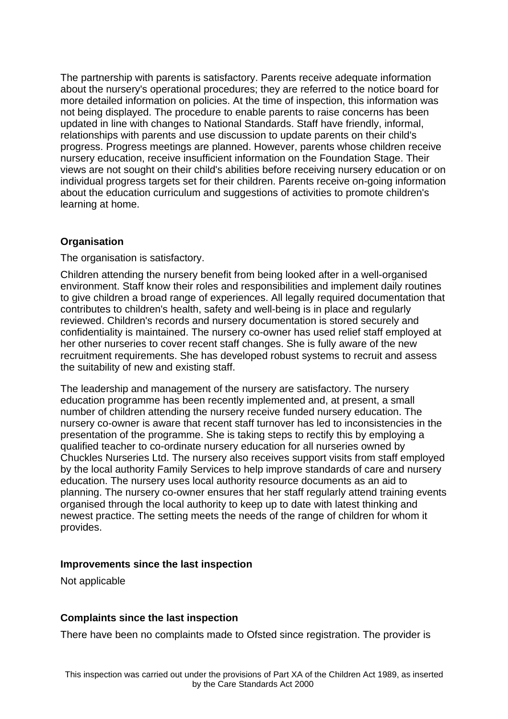The partnership with parents is satisfactory. Parents receive adequate information about the nursery's operational procedures; they are referred to the notice board for more detailed information on policies. At the time of inspection, this information was not being displayed. The procedure to enable parents to raise concerns has been updated in line with changes to National Standards. Staff have friendly, informal, relationships with parents and use discussion to update parents on their child's progress. Progress meetings are planned. However, parents whose children receive nursery education, receive insufficient information on the Foundation Stage. Their views are not sought on their child's abilities before receiving nursery education or on individual progress targets set for their children. Parents receive on-going information about the education curriculum and suggestions of activities to promote children's learning at home.

## **Organisation**

The organisation is satisfactory.

Children attending the nursery benefit from being looked after in a well-organised environment. Staff know their roles and responsibilities and implement daily routines to give children a broad range of experiences. All legally required documentation that contributes to children's health, safety and well-being is in place and regularly reviewed. Children's records and nursery documentation is stored securely and confidentiality is maintained. The nursery co-owner has used relief staff employed at her other nurseries to cover recent staff changes. She is fully aware of the new recruitment requirements. She has developed robust systems to recruit and assess the suitability of new and existing staff.

The leadership and management of the nursery are satisfactory. The nursery education programme has been recently implemented and, at present, a small number of children attending the nursery receive funded nursery education. The nursery co-owner is aware that recent staff turnover has led to inconsistencies in the presentation of the programme. She is taking steps to rectify this by employing a qualified teacher to co-ordinate nursery education for all nurseries owned by Chuckles Nurseries Ltd. The nursery also receives support visits from staff employed by the local authority Family Services to help improve standards of care and nursery education. The nursery uses local authority resource documents as an aid to planning. The nursery co-owner ensures that her staff regularly attend training events organised through the local authority to keep up to date with latest thinking and newest practice. The setting meets the needs of the range of children for whom it provides.

## **Improvements since the last inspection**

Not applicable

# **Complaints since the last inspection**

There have been no complaints made to Ofsted since registration. The provider is